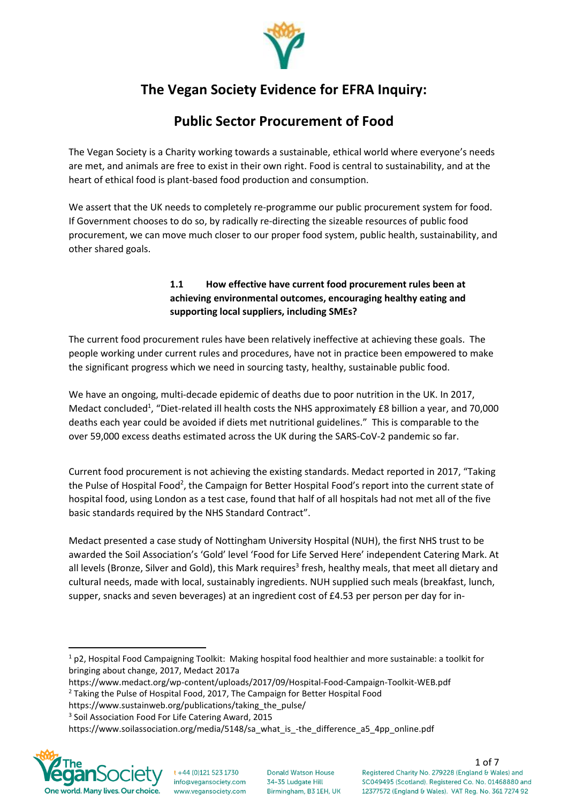

# **The Vegan Society Evidence for EFRA Inquiry:**

## **Public Sector Procurement of Food**

The Vegan Society is a Charity working towards a sustainable, ethical world where everyone's needs are met, and animals are free to exist in their own right. Food is central to sustainability, and at the heart of ethical food is plant-based food production and consumption.

We assert that the UK needs to completely re-programme our public procurement system for food. If Government chooses to do so, by radically re-directing the sizeable resources of public food procurement, we can move much closer to our proper food system, public health, sustainability, and other shared goals.

### **1.1 How effective have current food procurement rules been at achieving environmental outcomes, encouraging healthy eating and supporting local suppliers, including SMEs?**

The current food procurement rules have been relatively ineffective at achieving these goals. The people working under current rules and procedures, have not in practice been empowered to make the significant progress which we need in sourcing tasty, healthy, sustainable public food.

We have an ongoing, multi-decade epidemic of deaths due to poor nutrition in the UK. In 2017, Medact concluded<sup>1</sup>, "Diet-related ill health costs the NHS approximately £8 billion a year, and 70,000 deaths each year could be avoided if diets met nutritional guidelines." This is comparable to the over 59,000 excess deaths estimated across the UK during the SARS-CoV-2 pandemic so far.

Current food procurement is not achieving the existing standards. Medact reported in 2017, "Taking the Pulse of Hospital Food<sup>2</sup>, the Campaign for Better Hospital Food's report into the current state of hospital food, using London as a test case, found that half of all hospitals had not met all of the five basic standards required by the NHS Standard Contract".

Medact presented a case study of Nottingham University Hospital (NUH), the first NHS trust to be awarded the Soil Association's 'Gold' level 'Food for Life Served Here' independent Catering Mark. At all levels (Bronze, Silver and Gold), this Mark requires<sup>3</sup> fresh, healthy meals, that meet all dietary and cultural needs, made with local, sustainably ingredients. NUH supplied such meals (breakfast, lunch, supper, snacks and seven beverages) at an ingredient cost of £4.53 per person per day for in-

3 Soil Association Food For Life Catering Award, 2015

https://www.soilassociation.org/media/5148/sa\_what\_is\_-the\_difference\_a5\_4pp\_online.pdf



**Donald Watson House** 34-35 Ludgate Hill Birmingham, B3 1EH, UK

 $1$  p2, Hospital Food Campaigning Toolkit: Making hospital food healthier and more sustainable: a toolkit for bringing about change, 2017, Medact 2017a

https://www.medact.org/wp-content/uploads/2017/09/Hospital-Food-Campaign-Toolkit-WEB.pdf

<sup>&</sup>lt;sup>2</sup> Taking the Pulse of Hospital Food, 2017, The Campaign for Better Hospital Food

https://www.sustainweb.org/publications/taking\_the\_pulse/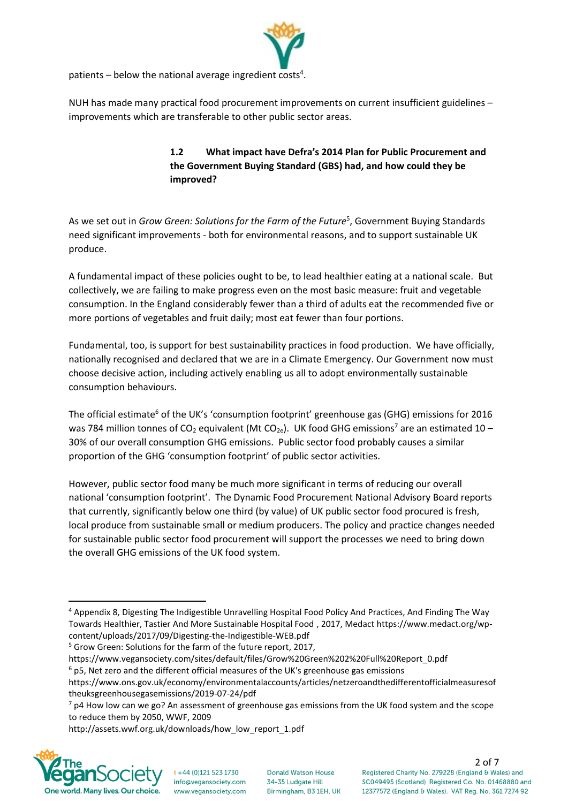

patients  $-$  below the national average ingredient costs<sup>4</sup>.

NUH has made many practical food procurement improvements on current insufficient guidelines – improvements which are transferable to other public sector areas.

### **1.2 What impact have Defra's 2014 Plan for Public Procurement and the Government Buying Standard (GBS) had, and how could they be improved?**

As we set out in *Grow Green: Solutions for the Farm of the Future*<sup>5</sup>, Government Buying Standards need significant improvements - both for environmental reasons, and to support sustainable UK produce.

A fundamental impact of these policies ought to be, to lead healthier eating at a national scale. But collectively, we are failing to make progress even on the most basic measure: fruit and vegetable consumption. In the England considerably fewer than a third of adults eat the recommended five or more portions of vegetables and fruit daily; most eat fewer than four portions.

Fundamental, too, is support for best sustainability practices in food production. We have officially, nationally recognised and declared that we are in a Climate Emergency. Our Government now must choose decisive action, including actively enabling us all to adopt environmentally sustainable consumption behaviours.

The official estimate<sup>6</sup> of the UK's 'consumption footprint' greenhouse gas (GHG) emissions for 2016 was 784 million tonnes of CO<sub>2</sub> equivalent (Mt CO<sub>2e</sub>). UK food GHG emissions<sup>7</sup> are an estimated 10 – 30% of our overall consumption GHG emissions. Public sector food probably causes a similar proportion of the GHG 'consumption footprint' of public sector activities.

However, public sector food many be much more significant in terms of reducing our overall national 'consumption footprint'. The Dynamic Food Procurement National Advisory Board reports that currently, significantly below one third (by value) of UK public sector food procured is fresh, local produce from sustainable small or medium producers. The policy and practice changes needed for sustainable public sector food procurement will support the processes we need to bring down the overall GHG emissions of the UK food system.

<sup>5</sup> Grow Green: Solutions for the farm of the future report, 2017,

https://www.vegansociety.com/sites/default/files/Grow%20Green%202%20Full%20Report\_0.pdf  $6$  p5, Net zero and the different official measures of the UK's greenhouse gas emissions

http://assets.wwf.org.uk/downloads/how\_low\_report\_1.pdf



<sup>4</sup> Appendix 8, Digesting The Indigestible Unravelling Hospital Food Policy And Practices, And Finding The Way Towards Healthier, Tastier And More Sustainable Hospital Food , 2017, Medact https://www.medact.org/wpcontent/uploads/2017/09/Digesting-the-Indigestible-WEB.pdf

https://www.ons.gov.uk/economy/environmentalaccounts/articles/netzeroandthedifferentofficialmeasuresof theuksgreenhousegasemissions/2019-07-24/pdf

 $7$  p4 How low can we go? An assessment of greenhouse gas emissions from the UK food system and the scope to reduce them by 2050, WWF, 2009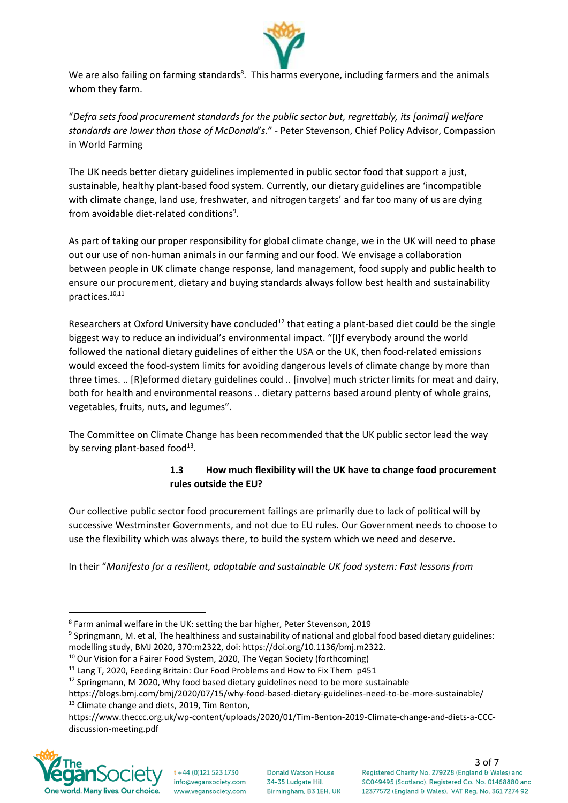

We are also failing on farming standards<sup>8</sup>. This harms everyone, including farmers and the animals whom they farm.

"*Defra sets food procurement standards for the public sector but, regrettably, its [animal] welfare standards are lower than those of McDonald's*." - Peter Stevenson, Chief Policy Advisor, Compassion in World Farming

The UK needs better dietary guidelines implemented in public sector food that support a just, sustainable, healthy plant-based food system. Currently, our dietary guidelines are 'incompatible with climate change, land use, freshwater, and nitrogen targets' and far too many of us are dying from avoidable diet-related conditions<sup>9</sup>.

As part of taking our proper responsibility for global climate change, we in the UK will need to phase out our use of non-human animals in our farming and our food. We envisage a collaboration between people in UK climate change response, land management, food supply and public health to ensure our procurement, dietary and buying standards always follow best health and sustainability practices. 10,11

Researchers at Oxford University have concluded<sup>12</sup> that eating a plant-based diet could be the single biggest way to reduce an individual's environmental impact. "[I]f everybody around the world followed the national dietary guidelines of either the USA or the UK, then food-related emissions would exceed the food-system limits for avoiding dangerous levels of climate change by more than three times. .. [R]eformed dietary guidelines could .. [involve] much stricter limits for meat and dairy, both for health and environmental reasons .. dietary patterns based around plenty of whole grains, vegetables, fruits, nuts, and legumes".

The Committee on Climate Change has been recommended that the UK public sector lead the way by serving plant-based food $^{13}$ .

#### **1.3 How much flexibility will the UK have to change food procurement rules outside the EU?**

Our collective public sector food procurement failings are primarily due to lack of political will by successive Westminster Governments, and not due to EU rules. Our Government needs to choose to use the flexibility which was always there, to build the system which we need and deserve.

In their "*Manifesto for a resilient, adaptable and sustainable UK food system: Fast lessons from* 

https://www.theccc.org.uk/wp-content/uploads/2020/01/Tim-Benton-2019-Climate-change-and-diets-a-CCCdiscussion-meeting.pdf



<sup>8</sup> Farm animal welfare in the UK: setting the bar higher, Peter Stevenson, 2019

<sup>&</sup>lt;sup>9</sup> Springmann, M. et al, The healthiness and sustainability of national and global food based dietary guidelines: modelling study, BMJ 2020, 370:m2322, doi: https://doi.org/10.1136/bmj.m2322.

 $10$  Our Vision for a Fairer Food System, 2020, The Vegan Society (forthcoming)

<sup>&</sup>lt;sup>11</sup> Lang T, 2020, Feeding Britain: Our Food Problems and How to Fix Them p451

 $12$  Springmann, M 2020, Why food based dietary guidelines need to be more sustainable

https://blogs.bmj.com/bmj/2020/07/15/why-food-based-dietary-guidelines-need-to-be-more-sustainable/ <sup>13</sup> Climate change and diets, 2019, Tim Benton,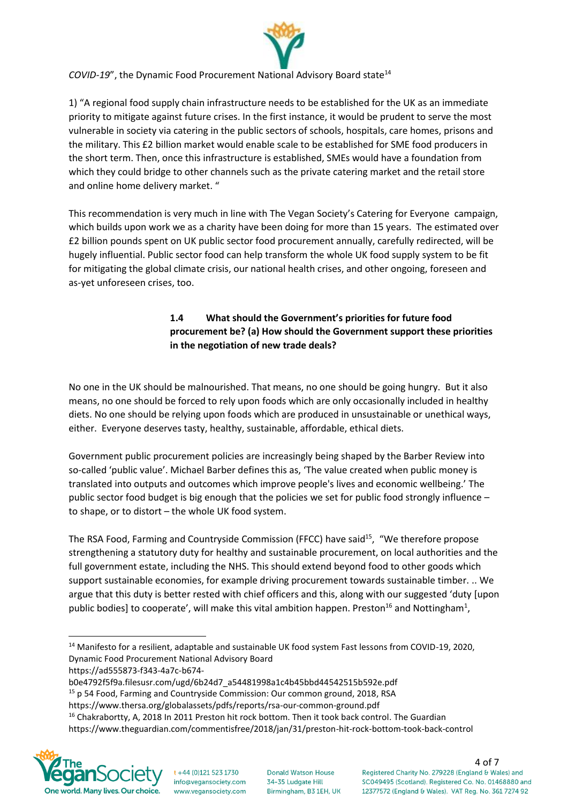

*COVID-19"*, the Dynamic Food Procurement National Advisory Board state<sup>14</sup>

1) "A regional food supply chain infrastructure needs to be established for the UK as an immediate priority to mitigate against future crises. In the first instance, it would be prudent to serve the most vulnerable in society via catering in the public sectors of schools, hospitals, care homes, prisons and the military. This £2 billion market would enable scale to be established for SME food producers in the short term. Then, once this infrastructure is established, SMEs would have a foundation from which they could bridge to other channels such as the private catering market and the retail store and online home delivery market. "

This recommendation is very much in line with The Vegan Society's Catering for Everyone campaign, which builds upon work we as a charity have been doing for more than 15 years. The estimated over £2 billion pounds spent on UK public sector food procurement annually, carefully redirected, will be hugely influential. Public sector food can help transform the whole UK food supply system to be fit for mitigating the global climate crisis, our national health crises, and other ongoing, foreseen and as-yet unforeseen crises, too.

### **1.4 What should the Government's priorities for future food procurement be? (a) How should the Government support these priorities in the negotiation of new trade deals?**

No one in the UK should be malnourished. That means, no one should be going hungry. But it also means, no one should be forced to rely upon foods which are only occasionally included in healthy diets. No one should be relying upon foods which are produced in unsustainable or unethical ways, either. Everyone deserves tasty, healthy, sustainable, affordable, ethical diets.

Government public procurement policies are increasingly being shaped by the Barber Review into so-called 'public value'. Michael Barber defines this as, 'The value created when public money is translated into outputs and outcomes which improve people's lives and economic wellbeing.' The public sector food budget is big enough that the policies we set for public food strongly influence – to shape, or to distort – the whole UK food system.

The RSA Food, Farming and Countryside Commission (FFCC) have said<sup>15</sup>, "We therefore propose strengthening a statutory duty for healthy and sustainable procurement, on local authorities and the full government estate, including the NHS. This should extend beyond food to other goods which support sustainable economies, for example driving procurement towards sustainable timber. .. We argue that this duty is better rested with chief officers and this, along with our suggested 'duty [upon public bodies] to cooperate', will make this vital ambition happen. Preston<sup>16</sup> and Nottingham<sup>1</sup>,

https://ad555873-f343-4a7c-b674-

- https://www.thersa.org/globalassets/pdfs/reports/rsa-our-common-ground.pdf
- <sup>16</sup> Chakrabortty, A, 2018 In 2011 Preston hit rock bottom. Then it took back control. The Guardian https://www.theguardian.com/commentisfree/2018/jan/31/preston-hit-rock-bottom-took-back-control



<sup>&</sup>lt;sup>14</sup> Manifesto for a resilient, adaptable and sustainable UK food system Fast lessons from COVID-19, 2020, Dynamic Food Procurement National Advisory Board

b0e4792f5f9a.filesusr.com/ugd/6b24d7\_a54481998a1c4b45bbd44542515b592e.pdf

<sup>&</sup>lt;sup>15</sup> p 54 Food, Farming and Countryside Commission: Our common ground, 2018, RSA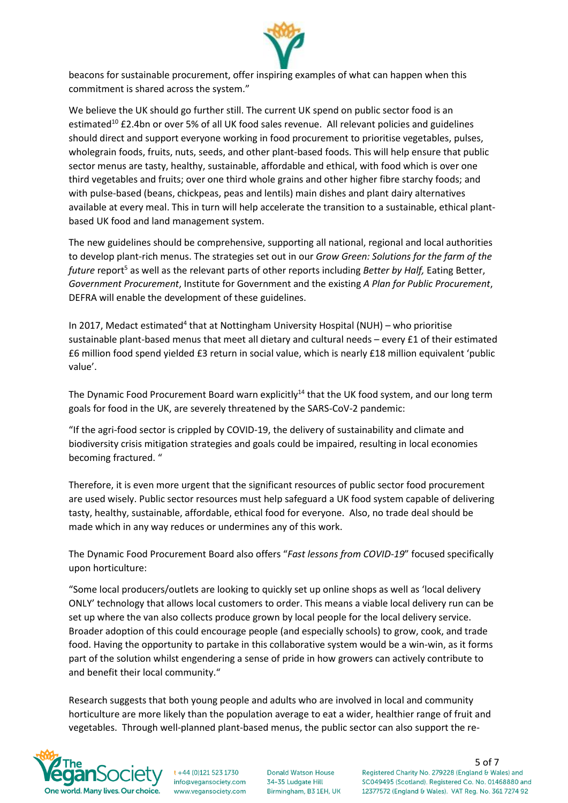

beacons for sustainable procurement, offer inspiring examples of what can happen when this commitment is shared across the system."

We believe the UK should go further still. The current UK spend on public sector food is an estimated<sup>10</sup> £2.4bn or over 5% of all UK food sales revenue. All relevant policies and guidelines should direct and support everyone working in food procurement to prioritise vegetables, pulses, wholegrain foods, fruits, nuts, seeds, and other plant-based foods. This will help ensure that public sector menus are tasty, healthy, sustainable, affordable and ethical, with food which is over one third vegetables and fruits; over one third whole grains and other higher fibre starchy foods; and with pulse-based (beans, chickpeas, peas and lentils) main dishes and plant dairy alternatives available at every meal. This in turn will help accelerate the transition to a sustainable, ethical plantbased UK food and land management system.

The new guidelines should be comprehensive, supporting all national, regional and local authorities to develop plant-rich menus. The strategies set out in our *Grow Green: Solutions for the farm of the future* report<sup>5</sup> as well as the relevant parts of other reports including *Better by Half,* Eating Better, *Government Procurement*, Institute for Government and the existing *A Plan for Public Procurement*, DEFRA will enable the development of these guidelines.

In 2017, Medact estimated<sup>4</sup> that at Nottingham University Hospital (NUH) - who prioritise sustainable plant-based menus that meet all dietary and cultural needs – every £1 of their estimated £6 million food spend yielded £3 return in social value, which is nearly £18 million equivalent 'public value'.

The Dynamic Food Procurement Board warn explicitly<sup>14</sup> that the UK food system, and our long term goals for food in the UK, are severely threatened by the SARS-CoV-2 pandemic:

"If the agri-food sector is crippled by COVID-19, the delivery of sustainability and climate and biodiversity crisis mitigation strategies and goals could be impaired, resulting in local economies becoming fractured. "

Therefore, it is even more urgent that the significant resources of public sector food procurement are used wisely. Public sector resources must help safeguard a UK food system capable of delivering tasty, healthy, sustainable, affordable, ethical food for everyone. Also, no trade deal should be made which in any way reduces or undermines any of this work.

The Dynamic Food Procurement Board also offers "*Fast lessons from COVID-19*" focused specifically upon horticulture:

"Some local producers/outlets are looking to quickly set up online shops as well as 'local delivery ONLY' technology that allows local customers to order. This means a viable local delivery run can be set up where the van also collects produce grown by local people for the local delivery service. Broader adoption of this could encourage people (and especially schools) to grow, cook, and trade food. Having the opportunity to partake in this collaborative system would be a win-win, as it forms part of the solution whilst engendering a sense of pride in how growers can actively contribute to and benefit their local community."

Research suggests that both young people and adults who are involved in local and community horticulture are more likely than the population average to eat a wider, healthier range of fruit and vegetables. Through well-planned plant-based menus, the public sector can also support the re-



+44 (0)121 523 1730 info@vegansociety.com www.vegansociety.com **Donald Watson House** 34-35 Ludgate Hill Birmingham, B3 1EH, UK 5 of 7<br>Registered Charity No. 279228 (England & Wales) and SC049495 (Scotland). Registered Co. No. 01468880 and 12377572 (England & Wales). VAT Reg. No. 361 7274 92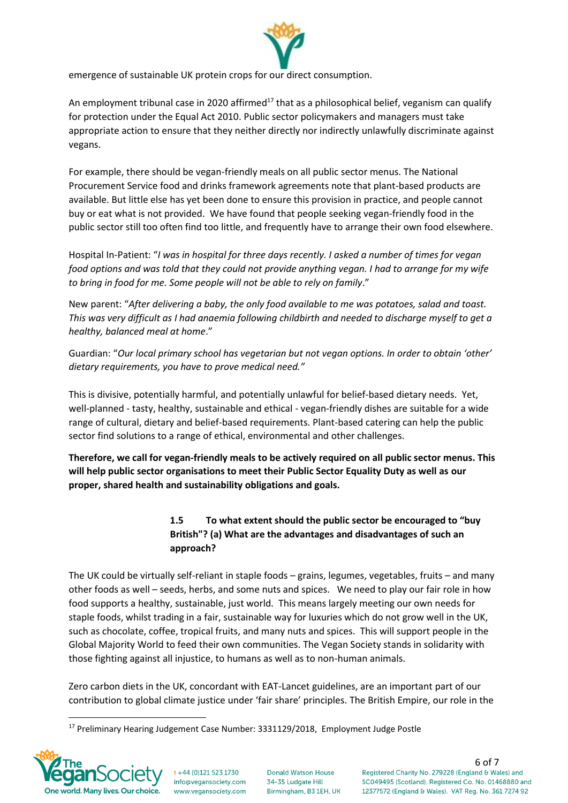

emergence of sustainable UK protein crops for our direct consumption.

An employment tribunal case in 2020 affirmed<sup>17</sup> that as a philosophical belief, veganism can qualify for protection under the Equal Act 2010. Public sector policymakers and managers must take appropriate action to ensure that they neither directly nor indirectly unlawfully discriminate against vegans.

For example, there should be vegan-friendly meals on all public sector menus. The National Procurement Service food and drinks framework agreements note that plant-based products are available. But little else has yet been done to ensure this provision in practice, and people cannot buy or eat what is not provided. We have found that people seeking vegan-friendly food in the public sector still too often find too little, and frequently have to arrange their own food elsewhere.

Hospital In-Patient: "*I was in hospital for three days recently. I asked a number of times for vegan food options and was told that they could not provide anything vegan. I had to arrange for my wife to bring in food for me. Some people will not be able to rely on family*."

New parent: "*After delivering a baby, the only food available to me was potatoes, salad and toast. This was very difficult as I had anaemia following childbirth and needed to discharge myself to get a healthy, balanced meal at home*."

Guardian: "*Our local primary school has vegetarian but not vegan options. In order to obtain 'other' dietary requirements, you have to prove medical need."*

This is divisive, potentially harmful, and potentially unlawful for belief-based dietary needs. Yet, well-planned - tasty, healthy, sustainable and ethical - vegan-friendly dishes are suitable for a wide range of cultural, dietary and belief-based requirements. Plant-based catering can help the public sector find solutions to a range of ethical, environmental and other challenges.

**Therefore, we call for vegan-friendly meals to be actively required on all public sector menus. This will help public sector organisations to meet their Public Sector Equality Duty as well as our proper, shared health and sustainability obligations and goals.** 

### **1.5 To what extent should the public sector be encouraged to "buy British"? (a) What are the advantages and disadvantages of such an approach?**

The UK could be virtually self-reliant in staple foods – grains, legumes, vegetables, fruits – and many other foods as well – seeds, herbs, and some nuts and spices. We need to play our fair role in how food supports a healthy, sustainable, just world. This means largely meeting our own needs for staple foods, whilst trading in a fair, sustainable way for luxuries which do not grow well in the UK, such as chocolate, coffee, tropical fruits, and many nuts and spices. This will support people in the Global Majority World to feed their own communities. The Vegan Society stands in solidarity with those fighting against all injustice, to humans as well as to non-human animals.

Zero carbon diets in the UK, concordant with EAT-Lancet guidelines, are an important part of our contribution to global climate justice under 'fair share' principles. The British Empire, our role in the

<sup>&</sup>lt;sup>17</sup> Preliminary Hearing Judgement Case Number: 3331129/2018, Employment Judge Postle



+44 (0)121 523 1730 info@vegansociety.com www.vegansociety.com

**Donald Watson House** 34-35 Ludgate Hill Birmingham, B3 1EH, UK